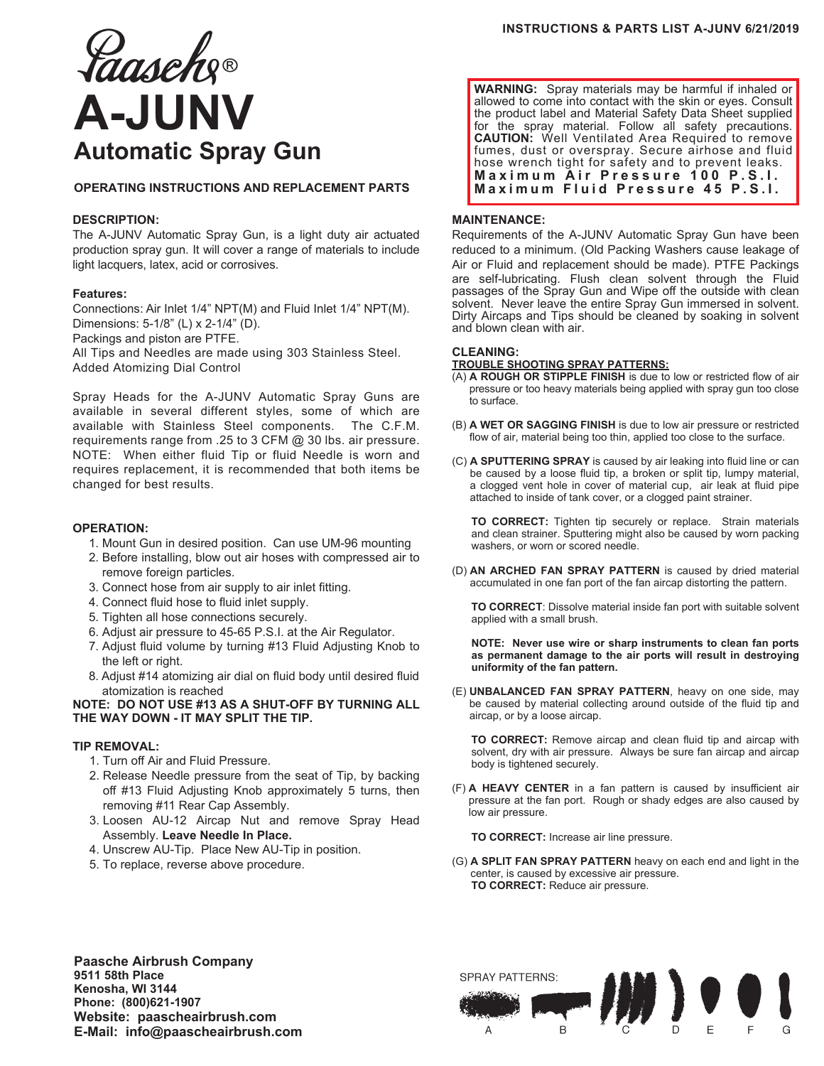# *Laaseh*g® **A-JUNV Automatic Spray Gun**

# **OPERATING INSTRUCTIONS AND REPLACEMENT PARTS**

## **DESCRIPTION:**

The A-JUNV Automatic Spray Gun, is a light duty air actuated production spray gun. It will cover a range of materials to include light lacquers, latex, acid or corrosives.

## **Features:**

Connections: Air Inlet 1/4" NPT(M) and Fluid Inlet 1/4" NPT(M). Dimensions: 5-1/8" (L) x 2-1/4" (D). Packings and piston are PTFE.

All Tips and Needles are made using 303 Stainless Steel. Added Atomizing Dial Control

Spray Heads for the A-JUNV Automatic Spray Guns are available in several different styles, some of which are available with Stainless Steel components. The C.F.M. requirements range from .25 to 3 CFM @ 30 lbs. air pressure. NOTE: When either fluid Tip or fluid Needle is worn and requires replacement, it is recommended that both items be changed for best results.

# **OPERATION:**

- 1. Mount Gun in desired position. Can use UM-96 mounting
- 2. Before installing, blow out air hoses with compressed air to remove foreign particles.
- 3. Connect hose from air supply to air inlet fitting.
- 4. Connect fluid hose to fluid inlet supply.
- 5. Tighten all hose connections securely.
- 6. Adjust air pressure to 45-65 P.S.I. at the Air Regulator.
- 7. Adjust fluid volume by turning #13 Fluid Adjusting Knob to the left or right.
- 8. Adjust #14 atomizing air dial on fluid body until desired fluid atomization is reached

**NOTE: DO NOT USE #13 AS A SHUT-OFF BY TURNING ALL THE WAY DOWN - IT MAY SPLIT THE TIP.**

## **TIP REMOVAL:**

- 1. Turn off Air and Fluid Pressure.
- 2. Release Needle pressure from the seat of Tip, by backing off #13 Fluid Adjusting Knob approximately 5 turns, then removing #11 Rear Cap Assembly.
- 3. Loosen AU-12 Aircap Nut and remove Spray Head Assembly. **Leave Needle In Place.**
- 4. Unscrew AU-Tip. Place New AU-Tip in position.
- 5. To replace, reverse above procedure.

**WARNING:** Spray materials may be harmful if inhaled or allowed to come into contact with the skin or eyes. Consult the product label and Material Safety Data Sheet supplied for the spray material. Follow all safety precautions. **CAUTION:** Well Ventilated Area Required to remove fumes, dust or overspray. Secure airhose and fluid hose wrench tight for safety and to prevent leaks. **Maximum Air Pressure 100 P.S.I. Maximum Fluid Pressure 45 P.S.I.**

### **MAINTENANCE:**

Requirements of the A-JUNV Automatic Spray Gun have been reduced to a minimum. (Old Packing Washers cause leakage of Air or Fluid and replacement should be made). PTFE Packings are self-lubricating. Flush clean solvent through the Fluid passages of the Spray Gun and Wipe off the outside with clean solvent. Never leave the entire Spray Gun immersed in solvent. Dirty Aircaps and Tips should be cleaned by soaking in solvent and blown clean with air.

#### **CLEANING:**

### **TROUBLE SHOOTING SPRAY PATTERNS:**

- (A) **A ROUGH OR STIPPLE FINISH** is due to low or restricted flow of air pressure or too heavy materials being applied with spray gun too close to surface.
- (B) **A WET OR SAGGING FINISH** is due to low air pressure or restricted flow of air, material being too thin, applied too close to the surface.
- (C) **A SPUTTERING SPRAY** is caused by air leaking into fluid line or can be caused by a loose fluid tip, a broken or split tip, lumpy material, a clogged vent hole in cover of material cup, air leak at fluid pipe attached to inside of tank cover, or a clogged paint strainer.

 **TO CORRECT:** Tighten tip securely or replace. Strain materials and clean strainer. Sputtering might also be caused by worn packing washers, or worn or scored needle.

(D) **AN ARCHED FAN SPRAY PATTERN** is caused by dried material accumulated in one fan port of the fan aircap distorting the pattern.

 **TO CORRECT**: Dissolve material inside fan port with suitable solvent applied with a small brush.

 **NOTE: Never use wire or sharp instruments to clean fan ports as permanent damage to the air ports will result in destroying uniformity of the fan pattern.**

(E) **UNBALANCED FAN SPRAY PATTERN**, heavy on one side, may be caused by material collecting around outside of the fluid tip and aircap, or by a loose aircap.

 **TO CORRECT:** Remove aircap and clean fluid tip and aircap with solvent, dry with air pressure. Always be sure fan aircap and aircap body is tightened securely.

(F) **A HEAVY CENTER** in a fan pattern is caused by insufficient air pressure at the fan port. Rough or shady edges are also caused by low air pressure.

**TO CORRECT:** Increase air line pressure.

(G) **A SPLIT FAN SPRAY PATTERN** heavy on each end and light in the center, is caused by excessive air pressure. **TO CORRECT:** Reduce air pressure.

**Paasche Airbrush Company 9511 58th Place Kenosha, WI 3144 Phone: (800)621-1907 Website: paascheairbrush.com E-Mail: info@paascheairbrush.com**